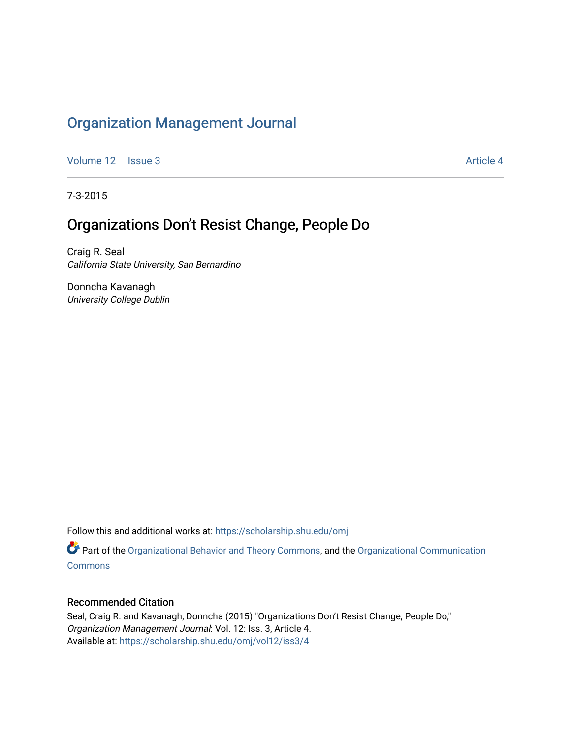# [Organization Management Journal](https://scholarship.shu.edu/omj)

[Volume 12](https://scholarship.shu.edu/omj/vol12) | [Issue 3](https://scholarship.shu.edu/omj/vol12/iss3) Article 4

7-3-2015

# Organizations Don't Resist Change, People Do

Craig R. Seal California State University, San Bernardino

Donncha Kavanagh University College Dublin

Follow this and additional works at: [https://scholarship.shu.edu/omj](https://scholarship.shu.edu/omj?utm_source=scholarship.shu.edu%2Fomj%2Fvol12%2Fiss3%2F4&utm_medium=PDF&utm_campaign=PDFCoverPages) 

Part of the [Organizational Behavior and Theory Commons,](http://network.bepress.com/hgg/discipline/639?utm_source=scholarship.shu.edu%2Fomj%2Fvol12%2Fiss3%2F4&utm_medium=PDF&utm_campaign=PDFCoverPages) and the [Organizational Communication](http://network.bepress.com/hgg/discipline/335?utm_source=scholarship.shu.edu%2Fomj%2Fvol12%2Fiss3%2F4&utm_medium=PDF&utm_campaign=PDFCoverPages) **[Commons](http://network.bepress.com/hgg/discipline/335?utm_source=scholarship.shu.edu%2Fomj%2Fvol12%2Fiss3%2F4&utm_medium=PDF&utm_campaign=PDFCoverPages)** 

### Recommended Citation

Seal, Craig R. and Kavanagh, Donncha (2015) "Organizations Don't Resist Change, People Do," Organization Management Journal: Vol. 12: Iss. 3, Article 4. Available at: [https://scholarship.shu.edu/omj/vol12/iss3/4](https://scholarship.shu.edu/omj/vol12/iss3/4?utm_source=scholarship.shu.edu%2Fomj%2Fvol12%2Fiss3%2F4&utm_medium=PDF&utm_campaign=PDFCoverPages)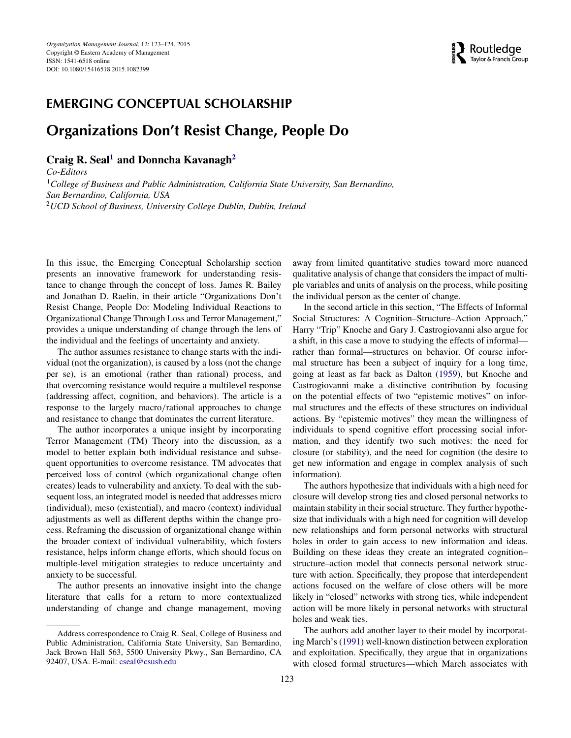

## **EMERGING CONCEPTUAL SCHOLARSHIP**

## **Organizations Don't Resist Change, People Do**

**Craig R. Seal[1](#page-1-0) and Donncha Kavanagh[2](#page-1-0)**

<span id="page-1-0"></span>*Co-Editors* <sup>1</sup>*College of Business and Public Administration, California State University, San Bernardino, San Bernardino, California, USA* <sup>2</sup>*UCD School of Business, University College Dublin, Dublin, Ireland*

In this issue, the Emerging Conceptual Scholarship section presents an innovative framework for understanding resistance to change through the concept of loss. James R. Bailey and Jonathan D. Raelin, in their article "Organizations Don't Resist Change, People Do: Modeling Individual Reactions to Organizational Change Through Loss and Terror Management," provides a unique understanding of change through the lens of the individual and the feelings of uncertainty and anxiety.

The author assumes resistance to change starts with the individual (not the organization), is caused by a loss (not the change per se), is an emotional (rather than rational) process, and that overcoming resistance would require a multilevel response (addressing affect, cognition, and behaviors). The article is a response to the largely macro*/*rational approaches to change and resistance to change that dominates the current literature.

The author incorporates a unique insight by incorporating Terror Management (TM) Theory into the discussion, as a model to better explain both individual resistance and subsequent opportunities to overcome resistance. TM advocates that perceived loss of control (which organizational change often creates) leads to vulnerability and anxiety. To deal with the subsequent loss, an integrated model is needed that addresses micro (individual), meso (existential), and macro (context) individual adjustments as well as different depths within the change process. Reframing the discussion of organizational change within the broader context of individual vulnerability, which fosters resistance, helps inform change efforts, which should focus on multiple-level mitigation strategies to reduce uncertainty and anxiety to be successful.

The author presents an innovative insight into the change literature that calls for a return to more contextualized understanding of change and change management, moving

away from limited quantitative studies toward more nuanced qualitative analysis of change that considers the impact of multiple variables and units of analysis on the process, while positing the individual person as the center of change.

In the second article in this section, "The Effects of Informal Social Structures: A Cognition–Structure–Action Approach," Harry "Trip" Knoche and Gary J. Castrogiovanni also argue for a shift, in this case a move to studying the effects of informal rather than formal—structures on behavior. Of course informal structure has been a subject of inquiry for a long time, going at least as far back as Dalton [\(1959\)](#page-2-0), but Knoche and Castrogiovanni make a distinctive contribution by focusing on the potential effects of two "epistemic motives" on informal structures and the effects of these structures on individual actions. By "epistemic motives" they mean the willingness of individuals to spend cognitive effort processing social information, and they identify two such motives: the need for closure (or stability), and the need for cognition (the desire to get new information and engage in complex analysis of such information).

The authors hypothesize that individuals with a high need for closure will develop strong ties and closed personal networks to maintain stability in their social structure. They further hypothesize that individuals with a high need for cognition will develop new relationships and form personal networks with structural holes in order to gain access to new information and ideas. Building on these ideas they create an integrated cognition– structure–action model that connects personal network structure with action. Specifically, they propose that interdependent actions focused on the welfare of close others will be more likely in "closed" networks with strong ties, while independent action will be more likely in personal networks with structural holes and weak ties.

The authors add another layer to their model by incorporating March's [\(1991\)](#page-2-1) well-known distinction between exploration and exploitation. Specifically, they argue that in organizations with closed formal structures—which March associates with

Address correspondence to Craig R. Seal, College of Business and Public Administration, California State University, San Bernardino, Jack Brown Hall 563, 5500 University Pkwy., San Bernardino, CA 92407, USA. E-mail: cseal@csusb.edu